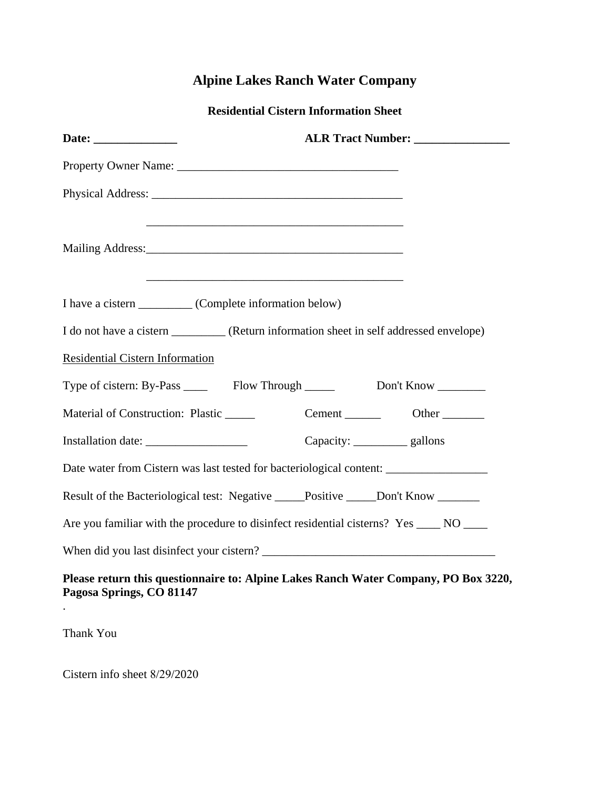## **Alpine Lakes Ranch Water Company**

**Residential Cistern Information Sheet** 

|                                                                                                                      | ALR Tract Number: ________________ |  |
|----------------------------------------------------------------------------------------------------------------------|------------------------------------|--|
|                                                                                                                      |                                    |  |
|                                                                                                                      |                                    |  |
| <u> 1989 - Johann John Stein, meil am der Stein am dem Stein am dem Stein am der Stein am der Stein am der Stein</u> |                                    |  |
| I have a cistern __________ (Complete information below)                                                             |                                    |  |
| I do not have a cistern __________ (Return information sheet in self addressed envelope)                             |                                    |  |
| Residential Cistern Information                                                                                      |                                    |  |
|                                                                                                                      |                                    |  |
| Material of Construction: Plastic ______                                                                             | Cement _________ Other _______     |  |
|                                                                                                                      | Capacity: ___________ gallons      |  |
| Date water from Cistern was last tested for bacteriological content: __________________                              |                                    |  |
| Result of the Bacteriological test: Negative _____Positive _____Don't Know ______                                    |                                    |  |
| Are you familiar with the procedure to disinfect residential cisterns? Yes _____ NO ____                             |                                    |  |
|                                                                                                                      |                                    |  |
| Please return this questionnaire to: Alpine Lakes Ranch Water Company, PO Box 3220,<br>Pagosa Springs, CO 81147      |                                    |  |

Thank You

.

Cistern info sheet 8/29/2020